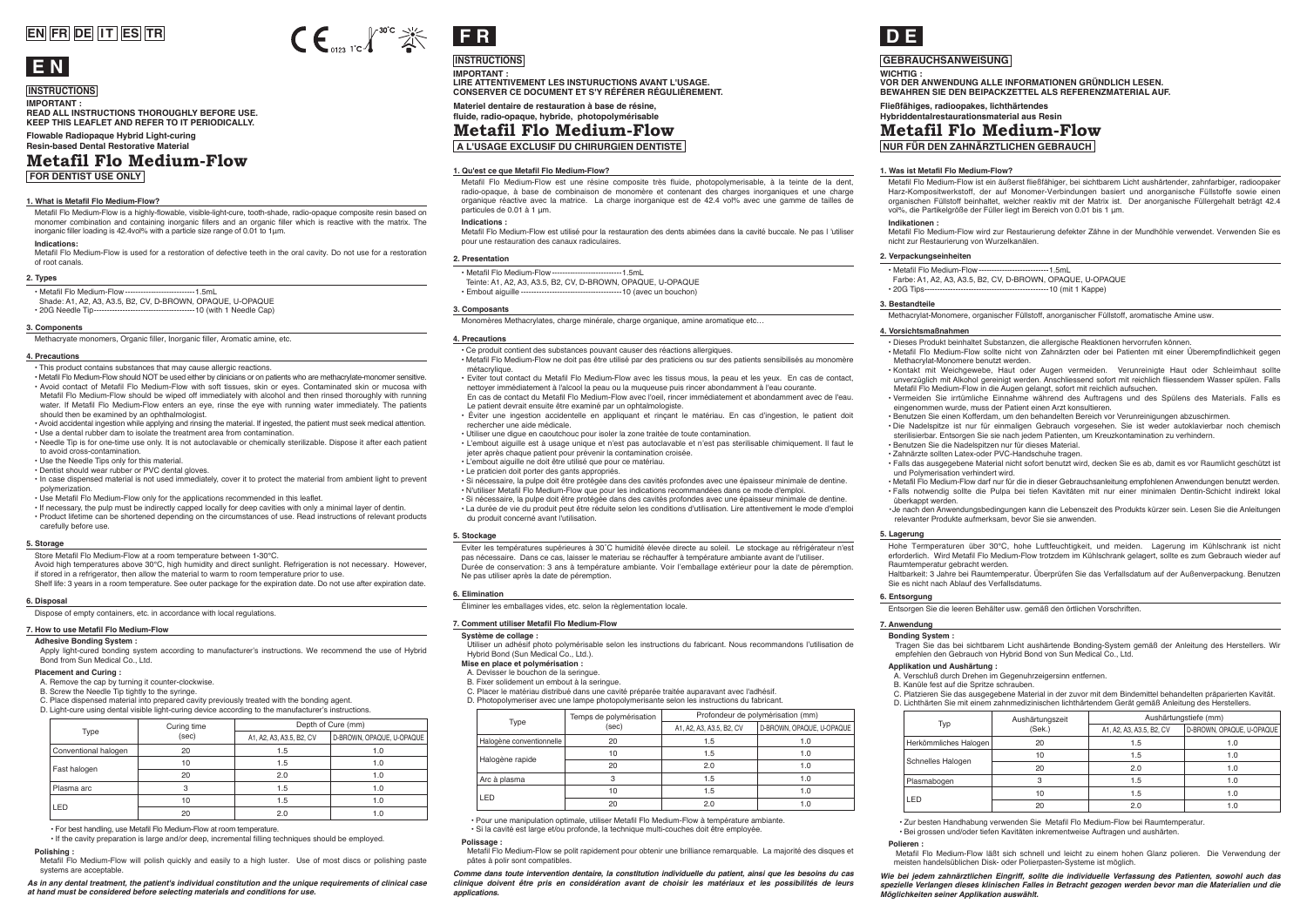# **EN FR DE IT ES TR**



# **INSTRUCTIONS**

**IMPORTANT : READ ALL INSTRUCTIONS THOROUGHLY BEFORE USE. KEEP THIS LEAFLET AND REFER TO IT PERIODICALLY.** 

**FOR DENTIST USE ONLY Flowable Radiopaque Hybrid Light-curing Resin-based Dental Restorative Material Metafil Flo Medium-Flow**

#### **1. What is Metafil Flo Medium-Flow?**

Metafil Flo Medium-Flow is a highly-flowable, visible-light-cure, tooth-shade, radio-opaque composite resin based on monomer combination and containing inorganic fillers and an organic filler which is reactive with the matrix. The inorganic filler loading is 42.4vol% with a particle size range of 0.01 to 1μm.

#### **Indications:**

Metafil Flo Medium-Flow is used for a restoration of defective teeth in the oral cavity. Do not use for a restoration of root canals.

#### **2. Types**

• Metafil Flo Medium-Flow---------------------------1.5mL Shade: A1, A2, A3, A3.5, B2, CV, D-BROWN, OPAQUE, U-OPAQUE • 20G Needle Tip---------------------------------------10 (with 1 Needle Cap)

#### **3. Components**

Methacryate monomers, Organic filler, Inorganic filler, Aromatic amine, etc.

#### **4. Precautions**

• This product contains substances that may cause allergic reactions.

• Metafil Flo Medium-Flow should NOT be used either by clinicians or on patients who are methacrylate-monomer sensitive. • Avoid contact of Metafil Flo Medium-Flow with soft tissues, skin or eyes. Contaminated skin or mucosa with Metafil Flo Medium-Flow should be wiped off immediately with alcohol and then rinsed thoroughly with running water. If Metafil Flo Medium-Flow enters an eye, rinse the eye with running water immediately. The patients should then be examined by an ophthalmologist.

• Avoid accidental ingestion while applying and rinsing the material. If ingested, the patient must seek medical attention. • Use a dental rubber dam to isolate the treatment area from contamination.

• Needle Tip is for one-time use only. It is not autoclavable or chemically sterilizable. Dispose it after each patient to avoid cross-contamination.

• Use the Needle Tips only for this material.

• Dentist should wear rubber or PVC dental gloves.

• In case dispensed material is not used immediately, cover it to protect the material from ambient light to prevent polymerization.

• Use Metafil Flo Medium-Flow only for the applications recommended in this leaflet.

• If necessary, the pulp must be indirectly capped locally for deep cavities with only a minimal layer of dentin. • Product lifetime can be shortened depending on the circumstances of use. Read instructions of relevant products carefully before use.

#### **5. Storage**

Store Metafil Flo Medium-Flow at a room temperature between 1-30℃.

Avoid high temperatures above 30℃, high humidity and direct sunlight. Refrigeration is not necessary. However, if stored in a refrigerator, then allow the material to warm to room temperature prior to use.

Shelf life: 3 years in a room temperature. See outer package for the expiration date. Do not use after expiration date.

#### **6. Disposal**

Dispose of empty containers, etc. in accordance with local regulations.

### **7. How to use Metafil Flo Medium-Flow**

#### **Adhesive Bonding System :**

Apply light-cured bonding system according to manufacturer's instructions. We recommend the use of Hybrid Bond from Sun Medical Co., Ltd.

#### **Placement and Curing :**

A. Remove the cap by turning it counter-clockwise.

B. Screw the Needle Tip tightly to the syringe.

C. Place dispensed material into prepared cavity previously treated with the bonding agent. D. Light-cure using dental visible light-curing device according to the manufacturer's instructions.

Curing time Type Curing till<br>(sec) Conventional halogen Fast halogen Plasma arc LED 10  $\overline{20}$ 3  $10^{-1}$ 20 20 1.0 1.0 1.0 1.0 1.0 1.0 1.5  $\overline{\phantom{0}}$ 1.5 1.5 2.0 1.5 Depth of Cure (mm) A1, A2, A3, A3, 5, B2, CV D-BROWN, OPAQUE, U-OPAQUE

• For best handling, use Metafil Flo Medium-Flow at room temperature.

• If the cavity preparation is large and/or deep, incremental filling techniques should be employed. **Polishing :**

Metafil Flo Medium-Flow will polish quickly and easily to a high luster. Use of most discs or polishing paste systems are acceptable.

*As in any dental treatment, the patient's individual constitution and the unique requirements of clinical case at hand must be considered before selecting materials and conditions for use.* 



**INSTRUCTIONS IMPORTANT : LIRE ATTENTIVEMENT LES INSTURUCTIONS AVANT L'USAGE. CONSERVER CE DOCUMENT ET S'Y RÉFÉRER RÉGULIÈREMENT.**

### **Materiel dentaire de restauration à base de résine, fluide, radio-opaque, hybride, photopolymérisable Metafil Flo Medium-Flow**

**A L'USAGE EXCLUSIF DU CHIRURGIEN DENTISTE**

#### **1. Qu'est ce que Metafil Flo Medium-Flow?**

Metafil Flo Medium-Flow est une résine composite très fluide, photopolymerisable, à la teinte de la dent, radio-opaque, à base de combinaison de monomère et contenant des charges inorganiques et une charge organique réactive avec la matrice. La charge inorganique est de 42.4 vol% avec une gamme de tailles de particules de 0.01 à 1 μm.

#### **Indications :**

Metafil Flo Medium-Flow est utilisé pour la restauration des dents abimées dans la cavité buccale. Ne pas l 'utiliser pour une restauration des canaux radiculaires.

#### **2. Presentation**

- Metafil Flo Medium-Flow---------------------------1.5mL Teinte: A1, A2, A3, A3.5, B2, CV, D-BROWN, OPAQUE, U-OPAQUE
- Embout aiguille ---------------------------------------10 (avec un bouchon)

#### **3. Composants** Monomères Methacrylates, charge minérale, charge organique, amine aromatique etc…

**4. Precautions** • Ce produit contient des substances pouvant causer des réactions allergiques.

- Metafil Flo Medium-Flow ne doit pas être utilisé par des praticiens ou sur des patients sensibilisés au monomère métacrylique.
- Eviter tout contact du Metafil Flo Medium-Flow avec les tissus mous, la peau et les yeux. En cas de contact, nettoyer immédiatement à l'alcool la peau ou la muqueuse puis rincer abondamment à l'eau courante. En cas de contact du Metafil Flo Medium-Flow avec l'oeil, rincer immédiatement et abondamment avec de l'eau.
- Le patient devrait ensuite être examiné par un ophtalmologiste. • Éviter une ingestion accidentelle en appliquant et rinçant le matériau. En cas d'ingestion, le patient doit
- rechercher une aide médicale.
- Utiliser une digue en caoutchouc pour isoler la zone traitée de toute contamination.
- L'embout aiguille est à usage unique et n'est pas autoclavable et n'est pas sterilisable chimiquement. Il faut le jeter après chaque patient pour prévenir la contamination croisée.
- L'embout aiguille ne doit être utilisé que pour ce matériau.
- Le praticien doit porter des gants appropriés.
- Si nécessaire, la pulpe doit être protégée dans des cavités profondes avec une épaisseur minimale de dentine.
- N'utiliser Metafil Flo Medium-Flow que pour les indications recommandées dans ce mode d'emploi.
- Si nécessaire, la pulpe doit être protégée dans des cavités profondes avec une épaisseur minimale de dentine. • La durée de vie du produit peut être réduite selon les conditions d'utilisation. Lire attentivement le mode d'emploi du produit concerné avant l'utilisation.

#### **5. Stockage**

Eviter les températures supérieures à 30˚C humidité élevée directe au soleil. Le stockage au réfrigérateur n'est pas nécessaire. Dans ce cas, laisser le materiau se réchauffer à température ambiante avant de l'utiliser. Durée de conservation: 3 ans à température ambiante. Voir l'emballage extérieur pour la date de péremption. Ne pas utiliser après la date de péremption.

#### **6. Elimination**

Éliminer les emballages vides, etc. selon la règlementation locale.

#### **7. Comment utiliser Metafil Flo Medium-Flow**

#### Système de collage **:**

Utiliser un adhésif photo polymérisable selon les instructions du fabricant. Nous recommandons l'utilisation de Hybrid Bond (Sun Medical Co., Ltd.).

#### **Mise en place et polymérisation :**

- A. Devisser le bouchon de la seringue.
- B. Fixer solidement un embout à la seringue.
- C. Placer le matériau distribué dans une cavité préparée traitée auparavant avec l'adhésif.
- D. Photopolymeriser avec une lampe photopolymerisante selon les instructions du fabricant.

|  | Type                     | Temps de polymérisation<br>(sec) | Profondeur de polymérisation (mm) |                           |
|--|--------------------------|----------------------------------|-----------------------------------|---------------------------|
|  |                          |                                  | A1, A2, A3, A3.5, B2, CV          | D-BROWN, OPAQUE, U-OPAQUE |
|  | Halogène conventionnelle | 20                               | 1.5                               | 1.0                       |
|  | Halogène rapide          | 10                               | 1.5                               | 1.0                       |
|  |                          | 20                               | 2.0                               | 1.0                       |
|  | Arc à plasma             |                                  | 1.5                               | 1.0                       |
|  | LED.                     | 10                               | 1.5                               | 1.0                       |
|  |                          | 20                               | 2.0                               | 1.0                       |

• Pour une manipulation optimale, utiliser Metafil Flo Medium-Flow à température ambiante. • Si la cavité est large et/ou profonde, la technique multi-couches doit être employée.

**Polissage :**

Metafil Flo Medium-Flow se polit rapidement pour obtenir une brilliance remarquable. La majorité des disques et pâtes à polir sont compatibles.

*Comme dans toute intervention dentaire, la constitution individuelle du patient, ainsi que les besoins du cas clinique doivent être pris en considération avant de choisir les matériaux et les possibilités de leurs applications.*



### **GEBRAUCHSANWEISUNG**

**WICHTIG : VOR DER ANWENDUNG ALLE INFORMATIONEN GRÜNDLICH LESEN. BEWAHREN SIE DEN BEIPACKZETTEL ALS REFERENZMATERIAL AUF.** 

#### **Fließfähiges, radioopakes, lichthärtendes Hybriddentalrestaurationsmaterial aus Resin**

**Metafil Flo Medium-Flow**

**NUR FÜR DEN ZAHNÄRZTLICHEN GEBRAUCH**

#### **1. Was ist Metafil Flo Medium-Flow?**

Metafil Flo Medium-Flow ist ein äußerst fließfähiger, bei sichtbarem Licht aushärtender, zahnfarbiger, radioopaker Harz-Kompositwerkstoff, der auf Monomer-Verbindungen basiert und anorganische Füllstoffe sowie einen organischen Füllstoff beinhaltet, welcher reaktiv mit der Matrix ist. Der anorganische Füllergehalt beträgt 42.4 vol%, die Partikelgröße der Füller liegt im Bereich von 0.01 bis 1 μm.

#### **Indikationen :**

Metafil Flo Medium-Flow wird zur Restaurierung defekter Zähne in der Mundhöhle verwendet. Verwenden Sie es nicht zur Restaurierung von Wurzelkanälen.

• Metafil Flo Medium-Flow sollte nicht von Zahnärzten oder bei Patienten mit einer Überempfindlichkeit gegen

• Kontakt mit Weichgewebe, Haut oder Augen vermeiden. Verunreinigte Haut oder Schleimhaut sollte unverzüglich mit Alkohol gereinigt werden. Anschliessend sofort mit reichlich fliessendem Wasser spülen. Falls

• Vermeiden Sie irrtümliche Einnahme während des Auftragens und des Spülens des Materials. Falls es

• Falls das ausgegebene Material nicht sofort benutzt wird, decken Sie es ab, damit es vor Raumlicht geschützt ist

• Metafil Flo Medium-Flow darf nur für die in dieser Gebrauchsanleitung empfohlenen Anwendungen benutzt werden. • Falls notwendig sollte die Pulpa bei tiefen Kavitäten mit nur einer minimalen Dentin-Schicht indirekt lokal

・Je nach den Anwendungsbedingungen kann die Lebenszeit des Produkts kürzer sein. Lesen Sie die Anleitungen

Hohe Termperaturen über 30℃, hohe Luftfeuchtigkeit, und meiden. Lagerung im Kühlschrank ist nicht erforderlich. Wird Metafil Flo Medium-Flow trotzdem im Kühlschrank gelagert, sollte es zum Gebrauch wieder auf<br>Raumtemperatur gebracht werden Raumtemperatur gebracht werden. Haltbarkeit: 3 Jahre bei Raumtemperatur. Überprüfen Sie das Verfallsdatum auf der Außenverpackung. Benutzen

Tragen Sie das bei sichtbarem Licht aushärtende Bonding-System gemäß der Anleitung des Herstellers. Wir

B. Kanüle fest auf die Spritze schrauben. C. Platzieren Sie das ausgegebene Material in der zuvor mit dem Bindemittel behandelten präparierten Kavität. D. Lichthärten Sie mit einem zahnmedizinischen lichthärtendem Gerät gemäß Anleitung des Herstellers.

> 1.5 2.0 1.5 1.5  $\overline{20}$

1.5

Aushärtungstiefe (mm) A1, A2, A3, A3.5, B2, CV D-BROWN, OPAQUE, U-OPAQUE

> $\overline{10}$ 1.0 1.0 1.0 1.0

1.0

Metafil Flo Medium-Flow läßt sich schnell und leicht zu einem hohen Glanz polieren. Die Verwendung der

Wie bei jedem zahnärztlichen Eingriff, sollte die individuelle Verfassung des Patienten, sowohl auch das<br>spezielle Verlangen dieses klinischen Falles in Betracht gezogen werden bevor man die Materialien und die

• Zur besten Handhabung verwenden Sie Metafil Flo Medium-Flow bei Raumtemperatur. • Bei grossen und/oder tiefen Kavitäten inkrementweise Auftragen und aushärten.

Aushärtungszeit

 $\overline{10}$  $\overline{20}$ 3 10  $\overline{20}$ 

 $\overline{20}$ 

meisten handelsüblichen Disk- oder Polierpasten-Systeme ist möglich.

*Möglichkeiten seiner Applikation auswählt.* 

#### **2. Verpackungseinheiten**

**4. Vorsichtsmaßnahmen**

überkappt werden.

Methacrylat-Monomere benutzt werden.

und Polymerisation verhindert wird.

Sie es nicht nach Ablauf des Verfallsdatums.

**Applikation und Aushärtung :** 

Herkömmliches Halogen Schnelles Halogen Plasmabogen LED

- 
- Metafil Flo Medium-Flow---------------------------1.5mL Farbe: A1, A2, A3, A3.5, B2, CV, D-BROWN, OPAQUE, U-OPAQUE • 20G Tips------------------------------------------------10 (mit 1 Kappe)

Entsorgen Sie die leeren Behälter usw. gemäß den örtlichen Vorschriften.

empfehlen den Gebrauch von Hybrid Bond von Sun Medical Co., Ltd.

A. Verschluß durch Drehen im Gegenuhrzeigersinn entfernen.

Typ Rushartung<br>(Sek.)

Methacrylat-Monomere, organischer Füllstoff, anorganischer Füllstoff, aromatische Amine usw.

• Benutzen Sie einen Kofferdam, um den behandelten Bereich vor Verunreinigungen abzuschirmen. • Die Nadelspitze ist nur für einmaligen Gebrauch vorgesehen. Sie ist weder autoklavierbar noch chemisch

sterilisierbar. Entsorgen Sie sie nach jedem Patienten, um Kreuzkontamination zu verhindern.

• Dieses Produkt beinhaltet Substanzen, die allergische Reaktionen hervorrufen können.

Metafil Flo Medium-Flow in die Augen gelangt, sofort mit reichlich aufsuchen.

eingenommen wurde, muss der Patient einen Arzt konsultieren.

• Benutzen Sie die Nadelspitzen nur für dieses Material. • Zahnärzte sollten Latex-oder PVC-Handschuhe tragen.

relevanter Produkte aufmerksam, bevor Sie sie anwenden.

#### **3. Bestandteile**

**6. Entsorgung** 

**7. Anwendung Bonding System :**

**Polieren :**

**5. Lagerung**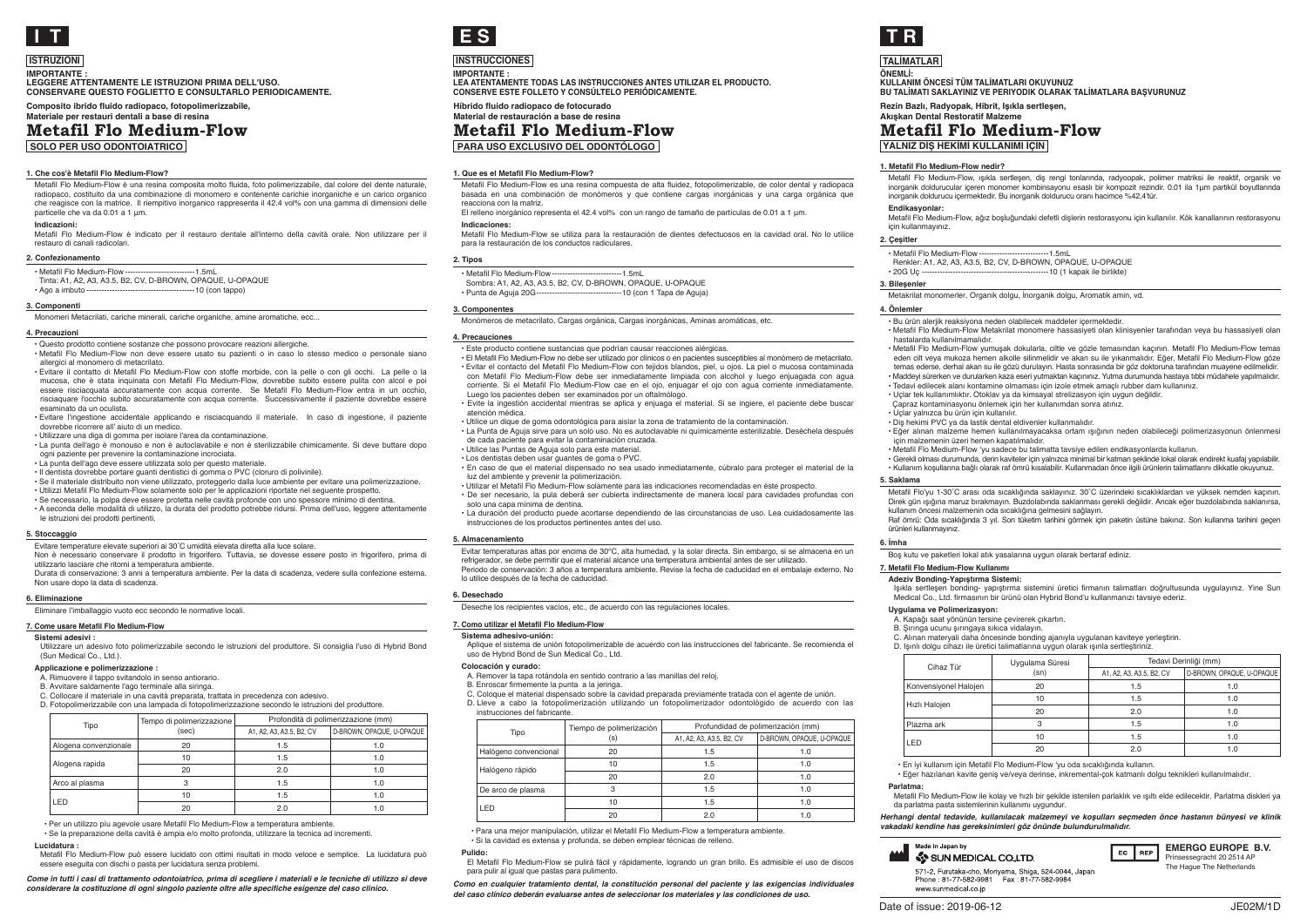

### **ISTRUZIONI**

**IMPORTANTE : LEGGERE ATTENTAMENTE LE ISTRUZIONI PRIMA DELL'USO. CONSERVARE QUESTO FOGLIETTO E CONSULTARLO PERIODICAMENTE.**

**Composito ibrido fluido radiopaco, fotopolimerizzabile, Materiale per restauri dentali a base di resina**

### **Metafil Flo Medium-Flow**

**SOLO PER USO ODONTOIATRICO**

#### **1. Che cos'è Metafil Flo Medium-Flow?**

Metafil Flo Medium-Flow è una resina composita molto fluida, foto polimerizzabile, dal colore del dente naturale, radiopaco, costituito da una combinazione di monomero e contenente carichie inorganiche e un carico organico che reagisce con la matrice. Il riempitivo inorganico rappresenta il 42.4 vol% con una gamma di dimensioni delle particelle che va da 0.01 a 1 μm.

#### **Indicazioni:**

Metafil Flo Medium-Flow è indicato per il restauro dentale all'interno della cavità orale. Non utilizzare per il restauro di canali radicolari.

#### **2. Confezionamento**

• Metafil Flo Medium-Flow ---------------------------1.5mL Tinta: A1, A2, A3, A3.5, B2, CV, D-BROWN, OPAQUE, U-OPAQUE

• Ago a imbuto ------------------------------------------10 (con tappo)

#### **3. Componenti**

Monomeri Metacrilati, cariche minerali, cariche organiche, amine aromatiche, ecc...

#### **4. Precauzioni**

• Questo prodotto contiene sostanze che possono provocare reazioni allergiche. • Metafil Flo Medium-Flow non deve essere usato su pazienti o in caso lo stesso medico o personale siano

allergici al monomero di metacrilato.

• Evitare il contatto di Metafil Flo Medium-Flow con stoffe morbide, con la pelle o con gli occhi. La pelle o la mucosa, che è stata inquinata con Metafil Flo Medium-Flow, dovrebbe subito essere pulita con alcol e poi essere risciacquata accuratamente con acqua corrente. Se Metafil Flo Medium-Flow entra in un occhio, risciaquare l'occhio subito accuratamente con acqua corrente. Successivamente il paziente dovrebbe essere esaminato da un oculista.

• Evitare l'ingestione accidentale applicando e risciacquando il materiale. In caso di ingestione, il paziente dovrebbe ricorrere all' aiuto di un medico.

• Utilizzare una diga di gomma per isolare l'area da contaminazione.

• La punta dell'ago è monouso e non è autoclavabile e non è sterilizzabile chimicamente. Si deve buttare dopo ogni paziente per prevenire la contaminazione incrociata.

• La punta dell'ago deve essere utilizzata solo per questo materiale.

• Il dentista dovrebbe portare guanti dentistici di gomma o PVC (cloruro di polivinile).

• Se il materiale distribuito non viene utilizzato, proteggerlo dalla luce ambiente per evitare una polimerizzazione. • Utilizzi Metafil Flo Medium-Flow solamente solo per le applicazioni riportate nel seguente prospetto.

• Se necessario, la polpa deve essere protetta nelle cavità profonde con uno spessore minimo di dentina. • A seconda delle modalità di utilizzo, la durata del prodotto potrebbe ridursi. Prima dell'uso, leggere attentamente

le istruzioni dei prodotti pertinenti.

#### **5. Stoccaggio**

Evitare temperature elevate superiori ai 30˚C umidità elevata diretta alla luce solare.

Non è necessario conservare il prodotto in frigorifero. Tuttavia, se dovesse essere posto in frigorifero, prima d utilizzarlo lasciare che ritorni a temperatura ambiente. Durata di conservazione: 3 anni a temperatura ambiente. Per la data di scadenza, vedere sulla confezione esterna.

Non usare dopo la data di scadenza.

#### **6. Eliminazione**

Eliminare l'imballaggio vuoto ecc secondo le normative locali.

#### **7. Come usare Metafil Flo Medium-Flow**

#### **Sistemi adesivi :**

Utilizzare un adesivo foto polimerizzabile secondo le istruzioni del produttore. Si consiglia l'uso di Hybrid Bond (Sun Medical Co., Ltd.).

#### **Applicazione e polimerizzazione :**

A. Rimuovere il tappo svitandolo in senso antiorario.

B. Avvitare saldamente l'ago terminale alla siringa.

C. Collocare il materiale in una cavità preparata, trattata in precedenza con adesivo.

D. Fotopolimerizzabile con una lampada di fotopolimerizzazione secondo le istruzioni del produttore.

| Tipo                  | Tempo di polimerizzazione<br>(sec) | Profondità di polimerizzazione (mm) |                           |
|-----------------------|------------------------------------|-------------------------------------|---------------------------|
|                       |                                    | A1, A2, A3, A3.5, B2, CV            | D-BROWN, OPAQUE, U-OPAQUE |
| Alogena convenzionale | 20                                 | 1.5                                 | 1.0                       |
| Alogena rapida        | 10                                 | 1.5                                 | 1.0                       |
|                       | 20                                 | 2.0                                 | 1.0                       |
| Arco al plasma        |                                    | 1.5                                 | 1 ∩                       |
| LED                   | 10                                 | 1.5                                 | 1.0                       |
|                       | 20                                 | 2.0                                 |                           |

• Per un utilizzo pìu agevole usare Metafil Flo Medium-Flow a temperatura ambiente.

• Se la preparazione della cavità è ampia e/o molto profonda, utilizzare la tecnica ad incrementi. **Lucidatura :**

Metafil Flo Medium-Flow può essere lucidato con ottimi risultati in modo veloce e semplice. La lucidatura può essere eseguita con dischi o pasta per lucidatura senza problemi.

*Come in tutti i casi di trattamento odontoiatrico, prima di scegliere i materiali e le tecniche di utilizzo si deve considerare la costituzione di ogni singolo paziente oltre alle specifiche esigenze del caso clinico.*



# **INSTRUCCIONES**

**IMPORTANTE : LEA ATENTAMENTE TODAS LAS INSTRUCCIONES ANTES UTILIZAR EL PRODUCTO. CONSERVE ESTE FOLLETO Y CONSÚLTELO PERIÓDICAMENTE.** 

**Híbrido fluido radiopaco de fotocurado Material de restauración a base de resina Metafil Flo Medium-Flow**

**PARA USO EXCLUSIVO DEL ODONTÓLOGO**

#### **1. Que es el Metafil Flo Medium-Flow?**

Metafil Flo Medium-Flow es una resina compuesta de alta fluidez, fotopolimerizable, de color dental y radiopaca basada en una combinación de monómeros y que contiene cargas inorgánicas y una carga orgánica que reacciona con la matriz.

El relleno inorgánico representa el 42.4 vol% con un rango de tamaño de partículas de 0.01 a 1 μm.

#### **Indicaciones:**

Metafil Flo Medium-Flow se utiliza para la restauración de dientes defectuosos en la cavidad oral. No lo utilice para la restauración de los conductos radiculares.

#### **2. Tipos**

• Metafil Flo Medium-Flow---------------------------1.5mL Sombra: A1, A2, A3, A3.5, B2, CV, D-BROWN, OPAQUE, U-OPAQUE

• Punta de Aguja 20G---------------------------------10 (con 1 Tapa de Aguja)

#### **3. Componentes**

Monómeros de metacrilato, Cargas orgánica, Cargas inorgánicas, Aminas aromáticas, etc.

#### **4. Precauciones**

• Este producto contiene sustancias que podrían causar reacciones alérgicas.

- El Metafil Flo Medium-Flow no debe ser utilizado por clínicos o en pacientes susceptibles al monómero de metacrilato. • Evitar el contacto del Metafil Flo Medium-Flow con tejidos blandos, piel, u ojos. La piel o mucosa contaminada con Metafil Flo Medium-Flow debe ser inmediatamente limpiada con alcohol y luego enjuagada con agua corriente. Si el Metafil Flo Medium-Flow cae en el ojo, enjuagar el ojo con agua corriente inmediatamente. Luego los pacientes deben ser examinados por un oftalmólogo.
- Evite la ingestión accidental mientras se aplica y enjuaga el material. Si se ingiere, el paciente debe buscar atención médica.

• Utilice un dique de goma odontológica para aislar la zona de tratamiento de la contaminación.

- La Punta de Aguja sirve para un solo uso. No es autoclavable ni químicamente esterilizable. Deséchela después de cada paciente para evitar la contaminación cruzada.
- Utilice las Puntas de Aguja solo para este material.
- Los dentistas deben usar guantes de goma o PVC.
- En caso de que el material dispensado no sea usado inmediatamente, cúbralo para proteger el material de la luz del ambiente y prevenir la polimerización.
- Utilizar el Metafil Flo Medium-Flow solamente para las indicaciones recomendadas en éste prospecto.
- De ser necesario, la pula deberá ser cubierta indirectamente de manera local para cavidades profundas con
- solo una capa mínima de dentina.
- La duración del producto puede acortarse dependiendo de las circunstancias de uso. Lea cuidadosamente las instrucciones de los productos pertinentes antes del uso.

#### **5. Almacenamiento**

Evitar temperaturas altas por encima de 30℃, alta humedad, y la solar directa. Sin embargo, si se almacena en un refrigerador, se debe permitir que el material alcance una temperatura ambiental antes de ser utilizado. Periodo de conservación: 3 años a temperatura ambiente. Revise la fecha de caducidad en el embalaje externo. No lo utilice después de la fecha de caducidad.

**6. Desechado** 

#### Deseche los recipientes vacíos, etc., de acuerdo con las regulaciones locales.

#### **7. Como utilizar el Metafil Flo Medium-Flow**

#### **Sistema adhesivo-unión:**

Aplique el sistema de unión fotopolimerizable de acuerdo con las instrucciones del fabricante. Se recomienda el uso de Hybrid Bond de Sun Medical Co., Ltd.

#### **Colocación y curado:**

- A. Remover la tapa rotándola en sentido contrario a las manillas del reloj.
- B. Enroscar firmemente la punta a la jeringa.
- C. Coloque el material dispensado sobre la cavidad preparada previamente tratada con el agente de unión.
- D. Lleve a cabo la fotopolimerización utilizando un fotopolimerizador odontológido de acuerdo con las instrucciones del fabricante.

|  | Tipo                  | Tiempo de polimerización<br>(s) | Profundidad de polimerización (mm) |                           |
|--|-----------------------|---------------------------------|------------------------------------|---------------------------|
|  |                       |                                 | A1, A2, A3, A3.5, B2, CV           | D-BROWN, OPAQUE, U-OPAQUE |
|  | Halógeno convencional | 20                              | 1.5                                | 1.0                       |
|  | Halógeno rápido       | 10                              | 1.5                                | 1.0                       |
|  |                       | 20                              | 2.0                                | 1.0                       |
|  | De arco de plasma     |                                 | 1.5                                | 1.0                       |
|  | LED.                  | 10                              | 1.5                                | 1.0                       |
|  |                       | 20                              | 20                                 |                           |

• Para una mejor manipulación, utilizar el Metafil Flo Medium-Flow a temperatura ambiente.

• Si la cavidad es extensa y profunda, se deben emplear técnicas de relleno.

#### **Pulido:**

El Metafil Flo Medium-Flow se pulirá fácil y rápidamente, logrando un gran brillo. Es admisible el uso de discos para pulir al igual que pastas para pulimento.

*Como en cualquier tratamiento dental, la constitución personal del paciente y las exigencias individuales del caso clínico deberán evaluarse antes de seleccionar los materiales y las condiciones de uso.*



**3. Bileşenler**

**4. Önlemler**

**6. İmha** 

**Parlatma:**

ürünleri kullanmayınız.

**7. Metafil Flo Medium-Flow Kullanımı Adeziv Bonding-Yapıştırma Sistemi:**

**Uygulama ve Polimerizasyon:**

Konvensiyonel Halojen Hızlı Halojen Plazma ark LED

Made in Janan by

www.eunmodical.co.in

A. Kapağı saat yönünün tersine çevirerek çıkartın. B. Şırınga ucunu şırıngaya sıkıca vidalayın.

Cihaz Tür (sn)

da parlatma pasta sistemlerinin kullanımı uygundur.

SIN MEDICAL COLITD

**vakadaki kendine has gereksinimleri göz önünde bulundurulmalıdır.**

571-2, Furutaka-cho, Morivama, Shiga, 524-0044, Japar Phone: 81-77-582-0081 Fax: 81-77-582-0084

**5. Saklama**

**2. Çeşitler**

**Endikasyonlar:**

için kullanmayınız.

**TALİMATLAR ÖNEMLİ: KULLANIM ÖNCESİ TÜM TALİMATLARI OKUYUNUZ**

**Rezin Bazlı, Radyopak, Hibrit, Işıkla sertleşen, BU TALİMATI SAKLAYINIZ VE PERIYODIK OLARAK TALİMATLARA BAŞVURUNUZ**

Metafil Flo Medium-Flow, ışıkla sertleşen, diş rengi tonlarında, radyoopak, polimer matriksi ile reaktif, organik ve inorganik doldurucular içeren monomer kombinsayonu esaslı bir kompozit rezindir. 0.01 ila 1μm partikül boyutlarında

Metafil Flo Medium-Flow, ağız boşluğundaki defetli dişlerin restorasyonu için kullanılır. Kök kanallarının restorasyonu

• Metafil Flo Medium-Flow Metakrilat monomere hassasiyeti olan klinisyenler tarafından veya bu hassasiyeti olan

• Metafil Flo Medium-Flow yumuşak dokularla, ciltle ve gözle temasından kaçının. Metafil Flo Medium-Flow temas eden cilt veya mukoza hemen alkolle silinmelidir ve akan su ile yıkanmalıdır. Eğer, Metafil Flo Medium-Flow göze temas ederse, derhal akan su ile gözü durulayın. Hasta sonrasında bir göz doktoruna tarafından muayene edilmelidir. • Maddeyi sürerken ve durularken kaza eseri yutmaktan kaçınınız. Yutma durumunda hastaya tıbbi müdahele yapılmalıdır.

• Eğer alınan malzeme hemen kullanılmayacaksa ortam ışığının neden olabileceği polimerizasyonun önlenmesi

• Gerekli olması durumunda, derin kaviteler için yalnızca minimal bir katman şeklinde lokal olarak endirekt kuafaj yapılabilir. • Kullanım koşullarına bağlı olarak raf ömrü kısalabilir. Kullanmadan önce ilgili ürünlerin talimatlarını dikkatle okuyunuz.

Metafil Flo'yu 1-30˚C arası oda sıcaklığında saklayınız. 30˚C üzerindeki sıcaklıklardan ve yüksek nemden kaçının. Direk gün ışığına maruz bırakmayın. Buzdolabında saklanması gerekli değildir. Ancak eğer buzdolabında saklanırsa,

Raf ömrü: Oda sıcaklığında 3 yıl. Son tüketim tarihini görmek için paketin üstüne bakınız. Son kullanma tarihini geçen

Işıkla sertleşen bonding- yapıştırma sistemini üretici firmanın talimatları doğrultusunda uygulayınız. Yine Sun

• Eğer hazılanan kavite geniş ve/veya derinse, inkremental-çok katmanlı dolgu teknikleri kullanılmalıdır.

Metafil Flo Medium-Flow ile kolay ve hızlı bir şekilde istenilen parlaklık ve ışıltı elde edilecektir. Parlatma diskleri ya

1.5 2.0 1.5  $1.5$  $20$ 

EC | REP

1.5

1.0 1.0 1.0  $\overline{10}$ 1.0

**EMERGO EUROPE B.V.** Prinsessegracht 20 2514 AP The Hague The Netherlands

1.0

Tedavi Derinliği (mm) A1, A2, A3, A3.5, B2, CV D-BROWN, OPAQUE, U-OPAQUE

**Herhangi dental tedavide, kullanılacak malzemeyi ve koşulları seçmeden önce hastanın bünyesi ve klinik** 

Date of issue: 2019-06-12 JE02M/1D

Metakrilat monomerler, Organik dolgu, İnorganik dolgu, Aromatik amin, vd.

• Tedavi edilecek alanı kontamine olmaması için izole etmek amaçlı rubber dam kullanınız. • Uçlar tek kullanımlıktır. Otoklav ya da kimsayal strelizasyon için uygun değildir. Çapraz kontaminasyonu önlemek için her kullanımdan sonra atınız.

• Metafil Flo Medium-Flow 'yu sadece bu talimatta tavsiye edilen endikasyonlarda kullanın.

Medical Co., Ltd. firmasının bir ürünü olan Hybrid Bond'u kullanmanızı tavsiye ederiz.

C. Alınan materyali daha öncesinde bonding ajanıyla uygulanan kaviteye yerleştirin. D. Işınlı dolgu cihazı ile üretici talimatlarına uygun olarak ışınla sertleştiriniz.

Uygulama Süresi

 $20$ 

• En iyi kullanım için Metafil Flo Medium-Flow 'yu oda sıcaklığında kullanın.

• Bu ürün alerjik reaksiyona neden olabilecek maddeler içermektedir.

• Diş hekimi PVC ya da lastik dental eldivenler kullanmalıdır.

Boş kutu ve paketleri lokal atık yasalarına uygun olarak bertaraf ediniz.

kullanım öncesi malzemenin oda sıcaklığına gelmesini sağlayın.

• Metafil Flo Medium-Flow---------------------------1.5mL Renkler: A1, A2, A3, A3.5, B2, CV, D-BROWN, OPAQUE, U-OPAQUE • 20G Uç -------------------------------------------------10 (1 kapak ile birlikte)

inorganik doldurucu içermektedir. Bu inorganik doldurucu oranı hacimce %42,4'tür.

### **Akışkan Dental Restoratif Malzeme Metafil Flo Medium-Flow**

### **YALNIZ DİŞ HEKİMİ KULLANIMI İÇİN**

#### **1. Metafil Flo Medium-Flow nedir?**

hastalarda kullanılmamalıdır.

• Uçlar yalnızca bu ürün için kullanılır.

için malzemenin üzeri hemen kapatılmalıdır.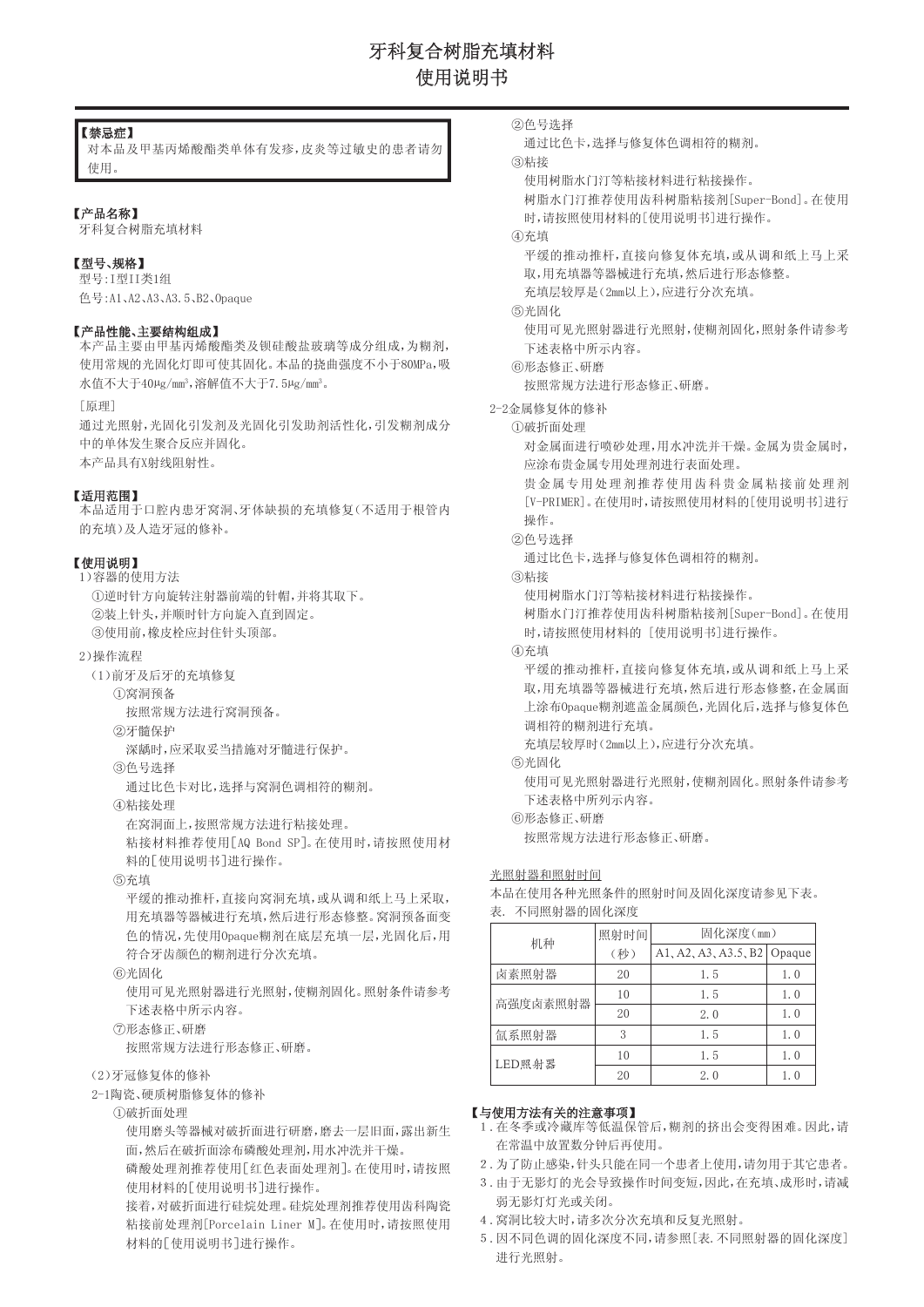# 牙科复合树脂充填材料 使用说明书

### 【禁忌症】

对本品及甲基丙烯酸酯类单体有发疹,皮炎等过敏史的患者请勿 使用。

### 【产品名称】

牙科复合树脂充填材料

### 【型号、规格】

型号:I型II类1组 色号:A1、A2、A3、A3.5、B2、Opaque

### 【产品性能、主要结构组成】

本产品主要由甲基丙烯酸酯类及钡硅酸盐玻璃等成分组成,为糊剂, 使用常规的光固化灯即可使其固化。本品的挠曲强度不小于80MPa,吸 水值不大于40μg/mm<sup>3</sup>,溶解值不大于7.5μg/mm<sup>3</sup>。

[原理]

通过光照射,光固化引发剂及光固化引发助剂活性化,引发糊剂成分 中的单体发生聚合反应并固化。 本产品具有X射线阻射性。

### 【适用范围】

本品适用于口腔内患牙窝洞、牙体缺损的充填修复(不适用于根管内 的充填)及人造牙冠的修补。

### 【使用说明】

1)容器的使用方法 ①逆时针方向旋转注射器前端的针帽,并将其取下。 ②装上针头,并顺时针方向旋入直到固定。 ③使用前,橡皮栓应封住针头顶部。

### 2)操作流程

(1)前牙及后牙的充填修复

①窝洞预备

按照常规方法进行窝洞预备。

②牙髓保护

深龋时,应采取妥当措施对牙髓进行保护。

### ③色号选择

通过比色卡对比,选择与窝洞色调相符的糊剂。

### ④粘接处理

在窝洞面上,按照常规方法进行粘接处理。

粘接材料推荐使用[AQ Bond SP]。在使用时,请按照使用材 料的[使用说明书]进行操作。

### ⑤充填

平缓的推动推杆,直接向窝洞充填,或从调和纸上马上采取, 用充填器等器械进行充填,然后进行形态修整。窝洞预备面变 色的情况,先使用Opaque糊剂在底层充填一层,光固化后,用 符合牙齿颜色的糊剂进行分次充填。

### ⑥光固化

使用可见光照射器进行光照射,使糊剂固化。照射条件请参考 下述表格中所示内容。

### ⑦形态修正、研磨

按照常规方法进行形态修正、研磨。

### (2)牙冠修复体的修补

2-1陶瓷、硬质树脂修复体的修补

①破折面处理

使用磨头等器械对破折面进行研磨,磨去一层旧面,露出新生 面,然后在破折面涂布磷酸处理剂,用水冲洗并干燥。

磷酸处理剂推荐使用[红色表面处理剂]。在使用时,请按照 使用材料的[使用说明书]进行操作。

接着,对破折面进行硅烷处理。硅烷处理剂推荐使用齿科陶瓷 粘接前处理剂[Porcelain Liner M]。在使用时,请按照使用 材料的[使用说明书]进行操作。

```
②色号选择
```
通过比色卡,选择与修复体色调相符的糊剂。

③粘接

使用树脂水门汀等粘接材料进行粘接操作。

树脂水门汀推荐使用齿科树脂粘接剂[Super-Bond]。在使用 时,请按照使用材料的[使用说明书]进行操作。

④充填

平缓的推动推杆,直接向修复体充填,或从调和纸上马上采 取,用充填器等器械进行充填,然后进行形态修整。

充填层较厚是(2mm以上),应进行分次充填。

### ⑤光固化

使用可见光照射器进行光照射,使糊剂固化,照射条件请参考 下述表格中所示内容。

```
⑥形态修正、研磨
```
按照常规方法进行形态修正、研磨。

- 2-2金属修复体的修补
	- ①破折面处理

对金属面进行喷砂处理,用水冲洗并干燥。金属为贵金属时, 应涂布贵金属专用处理剂进行表面处理。

贵金属专用处理剂推荐使用齿科贵金属粘接前处理剂 [V-PRIMER]。在使用时,请按照使用材料的[使用说明书]进行 操作。

### ②色号选择

通过比色卡,选择与修复体色调相符的糊剂。

### ③粘接

使用树脂水门汀等粘接材料进行粘接操作。

树脂水门汀推荐使用齿科树脂粘接剂[Super-Bond]。在使用 时,请按照使用材料的 [使用说明书]进行操作。

④充填

平缓的推动推杆,直接向修复体充填,或从调和纸上马上采 取,用充填器等器械进行充填,然后进行形态修整,在金属面 上涂布Opaque糊剂遮盖金属颜色,光固化后,选择与修复体色 调相符的糊剂进行充填。

充填层较厚时(2mm以上),应进行分次充填。

⑤光固化

使用可见光照射器进行光照射,使糊剂固化。照射条件请参考 下述表格中所列示内容。

⑥形态修正、研磨

按照常规方法进行形态修正、研磨。

## 光照射器和照射时间

本品在使用各种光照条件的照射时间及固化深度请参见下表。 表. 不同照射器的固化深度

| 机种       | 照射时间 | 固化深度(mm)                    |     |
|----------|------|-----------------------------|-----|
|          | (秒)  | A1, A2, A3, A3.5, B2 Opaque |     |
| 卤素照射器    | 20   | 1.5                         | 1.0 |
| 高强度卤素照射器 | 10   | 1.5                         | 1.0 |
|          | 20   | 2.0                         | 1.0 |
| 氚系照射器    | 3    | 1.5                         | 1.0 |
| LED照射器   | 10   | 1.5                         | 1.0 |
|          | 20   | 2.0                         | 1.0 |

### 【与使用方法有关的注意事项】

- 1.在冬季或冷藏库等低温保管后,糊剂的挤出会变得困难。因此,请 在常温中放置数分钟后再使用。
- 2.为了防止感染,针头只能在同一个患者上使用,请勿用于其它患者。
- 3.由于无影灯的光会导致操作时间变短,因此,在充填、成形时,请减 弱无影灯灯光或关闭。
- 4.窝洞比较大时,请多次分次充填和反复光照射。
- 5.因不同色调的固化深度不同,请参照[表.不同照射器的固化深度] 进行光照射。